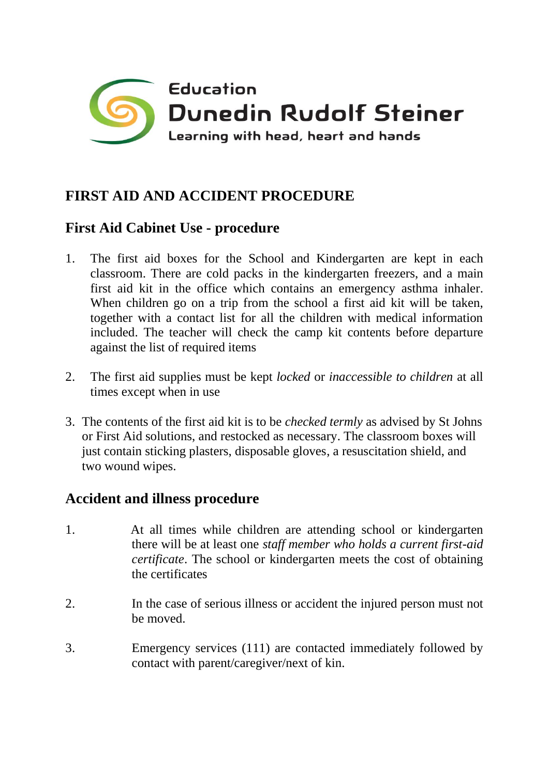

## **FIRST AID AND ACCIDENT PROCEDURE**

## **First Aid Cabinet Use - procedure**

- 1. The first aid boxes for the School and Kindergarten are kept in each classroom. There are cold packs in the kindergarten freezers, and a main first aid kit in the office which contains an emergency asthma inhaler. When children go on a trip from the school a first aid kit will be taken, together with a contact list for all the children with medical information included. The teacher will check the camp kit contents before departure against the list of required items
- 2. The first aid supplies must be kept *locked* or *inaccessible to children* at all times except when in use
- 3. The contents of the first aid kit is to be *checked termly* as advised by St Johns or First Aid solutions, and restocked as necessary. The classroom boxes will just contain sticking plasters, disposable gloves, a resuscitation shield, and two wound wipes.

## **Accident and illness procedure**

- 1. At all times while children are attending school or kindergarten there will be at least one *staff member who holds a current first-aid certificate*. The school or kindergarten meets the cost of obtaining the certificates
- 2. In the case of serious illness or accident the injured person must not be moved.
- 3. Emergency services (111) are contacted immediately followed by contact with parent/caregiver/next of kin.